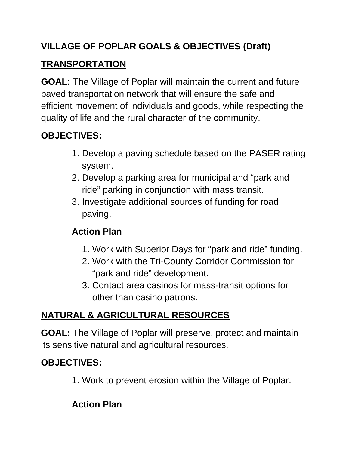## **VILLAGE OF POPLAR GOALS & OBJECTIVES (Draft)**

#### **TRANSPORTATION**

**GOAL:** The Village of Poplar will maintain the current and future paved transportation network that will ensure the safe and efficient movement of individuals and goods, while respecting the quality of life and the rural character of the community.

## **OBJECTIVES:**

- 1. Develop a paving schedule based on the PASER rating system.
- 2. Develop a parking area for municipal and "park and ride" parking in conjunction with mass transit.
- 3. Investigate additional sources of funding for road paving.

## **Action Plan**

- 1. Work with Superior Days for "park and ride" funding.
- 2. Work with the Tri-County Corridor Commission for "park and ride" development.
- 3. Contact area casinos for mass-transit options for other than casino patrons.

# **NATURAL & AGRICULTURAL RESOURCES**

**GOAL:** The Village of Poplar will preserve, protect and maintain its sensitive natural and agricultural resources.

## **OBJECTIVES:**

1. Work to prevent erosion within the Village of Poplar.

## **Action Plan**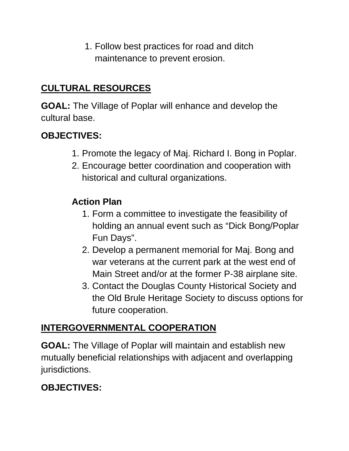1. Follow best practices for road and ditch maintenance to prevent erosion.

### **CULTURAL RESOURCES**

**GOAL:** The Village of Poplar will enhance and develop the cultural base.

### **OBJECTIVES:**

- 1. Promote the legacy of Maj. Richard I. Bong in Poplar.
- 2. Encourage better coordination and cooperation with historical and cultural organizations.

#### **Action Plan**

- 1. Form a committee to investigate the feasibility of holding an annual event such as "Dick Bong/Poplar Fun Days".
- 2. Develop a permanent memorial for Maj. Bong and war veterans at the current park at the west end of Main Street and/or at the former P-38 airplane site.
- 3. Contact the Douglas County Historical Society and the Old Brule Heritage Society to discuss options for future cooperation.

### **INTERGOVERNMENTAL COOPERATION**

**GOAL:** The Village of Poplar will maintain and establish new mutually beneficial relationships with adjacent and overlapping jurisdictions.

## **OBJECTIVES:**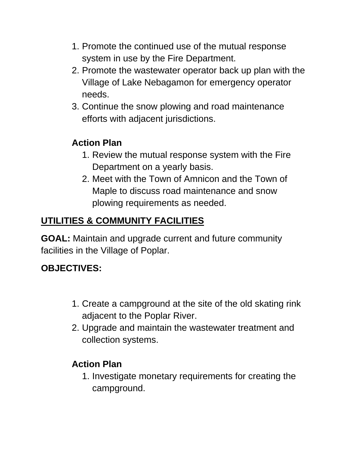- 1. Promote the continued use of the mutual response system in use by the Fire Department.
- 2. Promote the wastewater operator back up plan with the Village of Lake Nebagamon for emergency operator needs.
- 3. Continue the snow plowing and road maintenance efforts with adjacent jurisdictions.

# **Action Plan**

- 1. Review the mutual response system with the Fire Department on a yearly basis.
- 2. Meet with the Town of Amnicon and the Town of Maple to discuss road maintenance and snow plowing requirements as needed.

# **UTILITIES & COMMUNITY FACILITIES**

**GOAL:** Maintain and upgrade current and future community facilities in the Village of Poplar.

# **OBJECTIVES:**

- 1. Create a campground at the site of the old skating rink adjacent to the Poplar River.
- 2. Upgrade and maintain the wastewater treatment and collection systems.

# **Action Plan**

1. Investigate monetary requirements for creating the campground.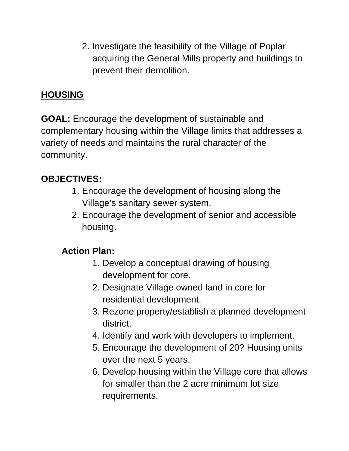2. Investigate the feasibility of the Village of Poplar acquiring the General Mills property and buildings to prevent their demolition.

### **HOUSING**

**GOAL:** Encourage the development of sustainable and complementary housing within the Village limits that addresses a variety of needs and maintains the rural character of the community.

### **OBJECTIVES:**

- 1. Encourage the development of housing along the Village's sanitary sewer system.
- 2. Encourage the development of senior and accessible housing.

### **Action Plan:**

- 1. Develop a conceptual drawing of housing development for core.
- 2. Designate Village owned land in core for residential development.
- 3. Rezone property/establish a planned development district.
- 4. Identify and work with developers to implement.
- 5. Encourage the development of 20? Housing units over the next 5 years.
- 6. Develop housing within the Village core that allows for smaller than the 2 acre minimum lot size requirements.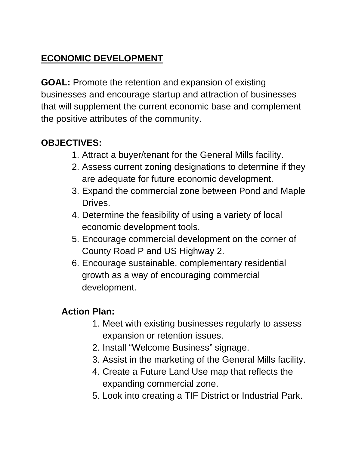## **ECONOMIC DEVELOPMENT**

**GOAL:** Promote the retention and expansion of existing businesses and encourage startup and attraction of businesses that will supplement the current economic base and complement the positive attributes of the community.

## **OBJECTIVES:**

- 1. Attract a buyer/tenant for the General Mills facility.
- 2. Assess current zoning designations to determine if they are adequate for future economic development.
- 3. Expand the commercial zone between Pond and Maple Drives.
- 4. Determine the feasibility of using a variety of local economic development tools.
- 5. Encourage commercial development on the corner of County Road P and US Highway 2.
- 6. Encourage sustainable, complementary residential growth as a way of encouraging commercial development.

### **Action Plan:**

- 1. Meet with existing businesses regularly to assess expansion or retention issues.
- 2. Install "Welcome Business" signage.
- 3. Assist in the marketing of the General Mills facility.
- 4. Create a Future Land Use map that reflects the expanding commercial zone.
- 5. Look into creating a TIF District or Industrial Park.